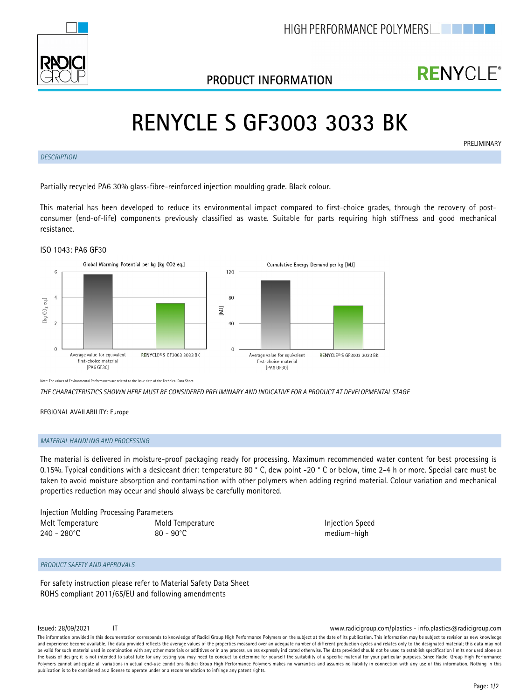

## **PRODUCT INFORMATION**

## **RENYCLE**®

# **RENYCLE S GF3003 3033 BK**

*DESCRIPTION*

**PRELIMINARY** 

Partially recycled PA6 30% glass-fibre-reinforced injection moulding grade. Black colour.

This material has been developed to reduce its environmental impact compared to first-choice grades, through the recovery of postconsumer (end-of-life) components previously classified as waste. Suitable for parts requiring high stiffness and good mechanical resistance.





Note: The values of Environmental Performances are related to the issue date of the Technical Data Sheet.

*THE CHARACTERISTICS SHOWN HERE MUST BE CONSIDERED PRELIMINARY AND INDICATIVE FOR A PRODUCT AT DEVELOPMENTAL STAGE*

REGIONAL AVAILABILITY: Europe

### *MATERIAL HANDLING AND PROCESSING*

The material is delivered in moisture-proof packaging ready for processing. Maximum recommended water content for best processing is 0.15%. Typical conditions with a desiccant drier: temperature 80 ° C, dew point -20 ° C or below, time 2-4 h or more. Special care must be taken to avoid moisture absorption and contamination with other polymers when adding regrind material. Colour variation and mechanical properties reduction may occur and should always be carefully monitored.

Injection Molding Processing Parameters Melt Temperature Temperature Mold Temperature **Injection** Speed

240 - 280°C 80 - 90°C medium-high

## *PRODUCT SAFETY AND APPROVALS*

For safety instruction please refer to Material Safety Data Sheet ROHS compliant 2011/65/EU and following amendments

### Issued: 28/09/2021 IT www.radicigroup.com/plastics - info.plastics@radicigroup.com

The information provided in this documentation corresponds to knowledge of Radici Group High Performance Polymers on the subject at the date of its publication. This information may be subject to revision as new knowledge and experience become available. The data provided reflects the average values of the properties measured over an adequate number of different production cycles and relates only to the designated material; this data may no be valid for such material used in combination with any other materials or additives or in any process, unless expressly indicated otherwise. The data provided should not be used to establish specification limits nor used the basis of design; it is not intended to substitute for any testing you may need to conduct to determine for yourself the suitability of a specific material for your particular purposes. Since Radici Group High Performan Polymers cannot anticipate all variations in actual end-use conditions Radici Group High Performance Polymers makes no warranties and assumes no liability in connection with any use of this information. Nothing in this publication is to be considered as a license to operate under or a recommendation to infringe any patent rights.